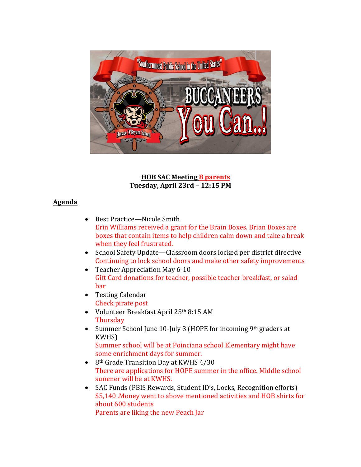

**HOB SAC Meeting 8 parents Tuesday, April 23rd – 12:15 PM**

## **Agenda**

- Best Practice—Nicole Smith Erin Williams received a grant for the Brain Boxes. Brian Boxes are boxes that contain items to help children calm down and take a break when they feel frustrated.
- School Safety Update—Classroom doors locked per district directive Continuing to lock school doors and make other safety improvements
- Teacher Appreciation May 6-10 Gift Card donations for teacher, possible teacher breakfast, or salad bar
- Testing Calendar Check pirate post
- Volunteer Breakfast April 25th 8:15 AM **Thursday**
- Summer School June 10-July 3 (HOPE for incoming 9th graders at KWHS) Summer school will be at Poinciana school Elementary might have

some enrichment days for summer.

- 8<sup>th</sup> Grade Transition Day at KWHS 4/30 There are applications for HOPE summer in the office. Middle school summer will be at KWHS.
- SAC Funds (PBIS Rewards, Student ID's, Locks, Recognition efforts) \$5,140 .Money went to above mentioned activities and HOB shirts for about 600 students

Parents are liking the new Peach Jar